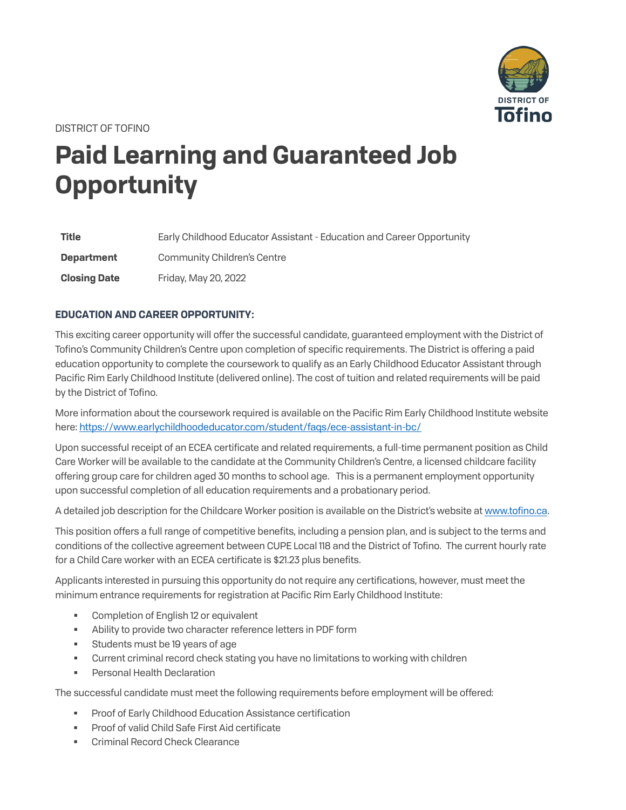

DISTRICT OF TOFINO

## **Paid Learning and Guaranteed Job Opportunity**

| <b>Title</b>        | Early Childhood Educator Assistant - Education and Career Opportunity |
|---------------------|-----------------------------------------------------------------------|
| <b>Department</b>   | Community Children's Centre                                           |
| <b>Closing Date</b> | Friday, May 20, 2022                                                  |

## **EDUCATION AND CAREER OPPORTUNITY:**

This exciting career opportunity will offer the successful candidate, guaranteed employment with the District of Tofino's Community Children's Centre upon completion of specific requirements. The District is offering a paid education opportunity to complete the coursework to qualify as an Early Childhood Educator Assistant through Pacific Rim Early Childhood Institute (delivered online). The cost of tuition and related requirements will be paid by the District of Tofino.

More information about the coursework required is available on the Pacific Rim Early Childhood Institute website here[: https://www.earlychildhoodeducator.com/student/faqs/ece-assistant-in-bc/](https://www.earlychildhoodeducator.com/student/faqs/ece-assistant-in-bc/)

Upon successful receipt of an ECEA certificate and related requirements, a full-time permanent position as Child Care Worker will be available to the candidate at the Community Children's Centre, a licensed childcare facility offering group care for children aged 30 months to school age. This is a permanent employment opportunity upon successful completion of all education requirements and a probationary period.

A detailed job description for the Childcare Worker position is available on the District's website a[t www.tofino.ca.](https://tofino.ca/employment-and-volunteer)

This position offers a full range of competitive benefits, including a pension plan, and is subject to the terms and conditions of the collective agreement between CUPE Local 118 and the District of Tofino. The current hourly rate for a Child Care worker with an ECEA certificate is \$21.23 plus benefits.

Applicants interested in pursuing this opportunity do not require any certifications, however, must meet the minimum entrance requirements for registration at Pacific Rim Early Childhood Institute:

- Completion of English 12 or equivalent
- Ability to provide two character reference letters in PDF form
- Students must be 19 years of age
- Current criminal record check stating you have no limitations to working with children
- Personal Health Declaration

The successful candidate must meet the following requirements before employment will be offered:

- Proof of Early Childhood Education Assistance certification
- **Proof of valid Child Safe First Aid certificate**
- Criminal Record Check Clearance